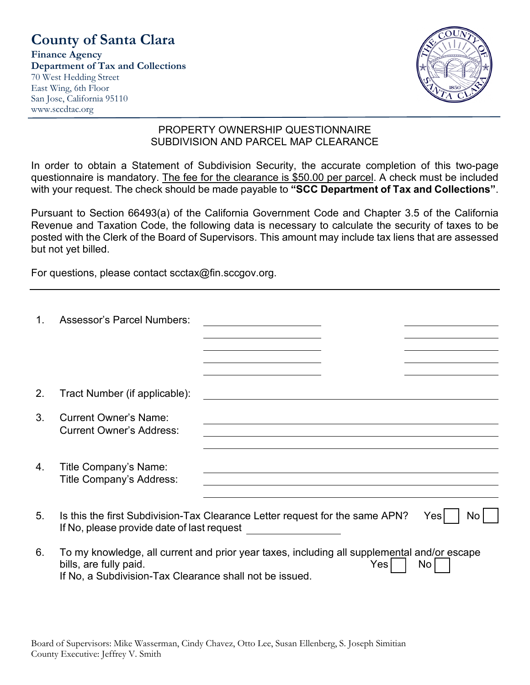# **County of Santa Clara**

**Finance Agency Department of Tax and Collections** 70 West Hedding Street East Wing, 6th Floor San Jose, California 95110 www.sccdtac.org



#### PROPERTY OWNERSHIP QUESTIONNAIRE SUBDIVISION AND PARCEL MAP CLEARANCE

In order to obtain a Statement of Subdivision Security, the accurate completion of this two-page questionnaire is mandatory. The fee for the clearance is \$50.00 per parcel. A check must be included with your request. The check should be made payable to **"SCC Department of Tax and Collections"**.

Pursuant to Section 66493(a) of the California Government Code and Chapter 3.5 of the California Revenue and Taxation Code, the following data is necessary to calculate the security of taxes to be posted with the Clerk of the Board of Supervisors. This amount may include tax liens that are assessed but not yet billed.

For questions, please contact scctax@fin.sccgov.org.

| 1.             | <b>Assessor's Parcel Numbers:</b>                                                                                                                                                |  |     |    |
|----------------|----------------------------------------------------------------------------------------------------------------------------------------------------------------------------------|--|-----|----|
|                |                                                                                                                                                                                  |  |     |    |
| 2.             | Tract Number (if applicable):                                                                                                                                                    |  |     |    |
| 3.             | <b>Current Owner's Name:</b><br><b>Current Owner's Address:</b>                                                                                                                  |  |     |    |
| 4.             | Title Company's Name:<br>Title Company's Address:                                                                                                                                |  |     |    |
| 5 <sub>1</sub> | Is this the first Subdivision-Tax Clearance Letter request for the same APN?<br>Yes<br>Nο<br>If No, please provide date of last request                                          |  |     |    |
| 6.             | To my knowledge, all current and prior year taxes, including all supplemental and/or escape<br>bills, are fully paid.<br>If No, a Subdivision-Tax Clearance shall not be issued. |  | Yes | No |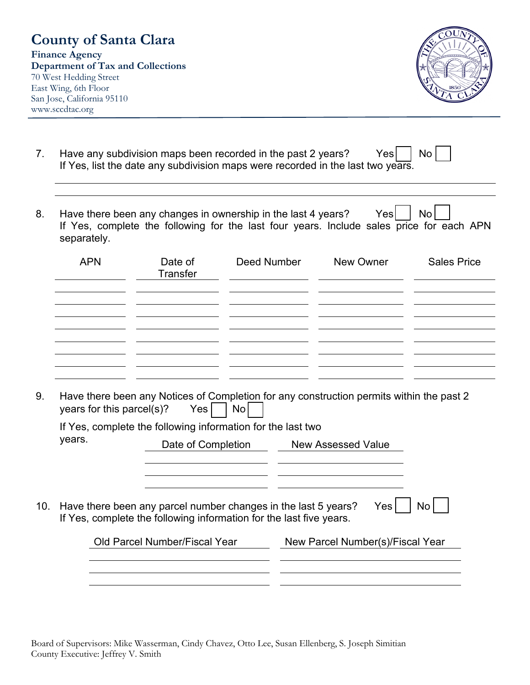#### **County of Santa Clara Finance Agency Department of Tax and Collections** 70 West Hedding Street East Wing, 6th Floor San Jose, California 95110 www.sccdtac.org



| Have any subdivision maps been recorded in the past 2 years?                    | $\mathsf{Yes} \begin{array}{ c } \hline \end{array} \mathsf{No} \begin{bmatrix} \ \hline \ \ \end{array}$ |  |
|---------------------------------------------------------------------------------|-----------------------------------------------------------------------------------------------------------|--|
| If Yes, list the date any subdivision maps were recorded in the last two years. |                                                                                                           |  |

8. Have there been any changes in ownership in the last 4 years? Yes  $|$  No  $|$ If Yes, complete the following for the last four years. Include sales price for each APN separately.

| <b>APN</b> | Date of<br>Transfer | Deed Number | New Owner | <b>Sales Price</b> |
|------------|---------------------|-------------|-----------|--------------------|
|            |                     |             |           |                    |
|            |                     |             |           |                    |
|            |                     |             |           |                    |

9. Have there been any Notices of Completion for any construction permits within the past 2 vears for this parcel(s)? Yes  $\Box$  No  $\Box$ vears for this parcel(s)?

| years. | Date of Completion                                                                                                                                                     | <b>New Assessed Value</b>                         |
|--------|------------------------------------------------------------------------------------------------------------------------------------------------------------------------|---------------------------------------------------|
|        |                                                                                                                                                                        |                                                   |
| 10.    | Have there been any parcel number changes in the last 5 years?<br>If Yes, complete the following information for the last five years.<br>Old Parcel Number/Fiscal Year | Yes  <br>No l<br>New Parcel Number(s)/Fiscal Year |